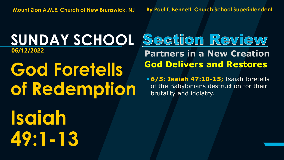**God Foretells of Redemption**

**Isaiah 49:1-13**

#### **SUNDAY SCHOOL 06/12/2022 Partners in a New Creation God Delivers and Restores**

▪ **6/5: Isaiah 47:10-15;** Isaiah foretells of the Babylonians destruction for their brutality and idolatry.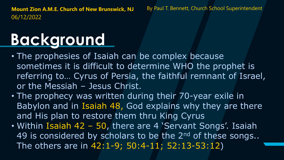## **Background**

- The prophesies of Isaiah can be complex because sometimes it is difficult to determine WHO the prophet is referring to… Cyrus of Persia, the faithful remnant of Israel, or the Messiah – Jesus Christ.
- The prophecy was written during their 70-year exile in Babylon and in Isaiah 48, God explains why they are there and His plan to restore them thru King Cyrus
- Within Isaiah 42 50, there are 4 'Servant Songs'. Isaiah 49 is considered by scholars to be the 2<sup>nd</sup> of these songs.. The others are in 42:1-9; 50:4-11; 52:13-53:12)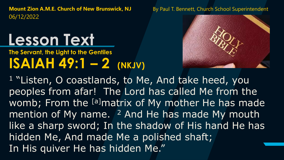#### **Lesson Text**

#### **ISAIAH 49:1 – 2 (NKJV) The Servant, the Light to the Gentiles**



<sup>1</sup> "Listen, O coastlands, to Me, And take heed, you peoples from afar! The Lord has called Me from the womb; From the [a]matrix of My mother He has made mention of My name.  $^2$  And He has made My mouth like a sharp sword; In the shadow of His hand He has hidden Me, And made Me a polished shaft; In His quiver He has hidden Me."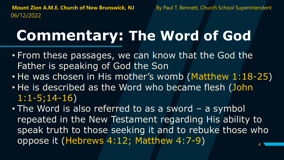#### **Commentary: The Word of God**

- From these passages, we can know that the God the Father is speaking of God the Son
- He was chosen in His mother's womb (Matthew 1:18-25)
- He is described as the Word who became flesh (John 1:1-5;14-16)
- 4 • The Word is also referred to as a sword – a symbol repeated in the New Testament regarding His ability to speak truth to those seeking it and to rebuke those who oppose it (Hebrews 4:12; Matthew 4:7-9)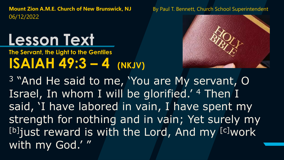### **Lesson Text**

#### **ISAIAH 49:3 – 4 (NKJV) The Servant, the Light to the Gentiles**



<sup>3</sup> "And He said to me, 'You are My servant, O Israel, In whom I will be glorified.' <sup>4</sup> Then I said, 'I have labored in vain, I have spent my strength for nothing and in vain; Yet surely my [b]just reward is with the Lord, And my [c]work with my God.' "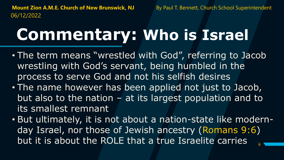### **Commentary: Who is Israel**

- The term means "wrestled with God", referring to Jacob wrestling with God's servant, being humbled in the process to serve God and not his selfish desires
- The name however has been applied not just to Jacob, but also to the nation – at its largest population and to its smallest remnant
- 6 • But ultimately, it is not about a nation-state like modernday Israel, nor those of Jewish ancestry (Romans 9:6) but it is about the ROLE that a true Israelite carries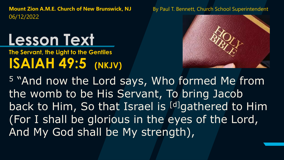### **Lesson Text**

**ISAIAH 49:5 (NKJV) The Servant, the Light to the Gentiles**



<sup>5</sup> "And now the Lord says, Who formed Me from the womb to be His Servant, To bring Jacob back to Him, So that Israel is [d]gathered to Him (For I shall be glorious in the eyes of the Lord, And My God shall be My strength),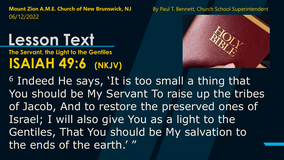### **Lesson Text**

**ISAIAH 49:6 (NKJV) The Servant, the Light to the Gentiles**



<sup>6</sup> Indeed He says, 'It is too small a thing that You should be My Servant To raise up the tribes of Jacob, And to restore the preserved ones of Israel; I will also give You as a light to the Gentiles, That You should be My salvation to the ends of the earth.' "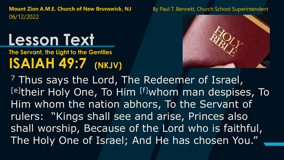#### **Lesson Text**

**ISAIAH 49:7 (NKJV) The Servant, the Light to the Gentiles**



<sup>7</sup> Thus says the Lord, The Redeemer of Israel, [e]their Holy One, To Him [f]whom man despises, To Him whom the nation abhors, To the Servant of rulers: "Kings shall see and arise, Princes also shall worship, Because of the Lord who is faithful, The Holy One of Israel; And He has chosen You."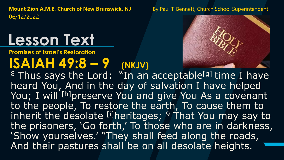### **Lesson Text**

**Promises of Israel's Restoration**

#### $ISAH 49:8 - 9$  (NKJV)



<sup>8</sup> Thus says the Lord: "In an acceptable<sup>[g]</sup> time I have heard You, And in the day of salvation I have helped You; I will <sup>[h]</sup>preserve You and give You As a covenant to the people, To restore the earth, To cause them to inherit the desolate  $[$ <sup>i]</sup>heritages;  $9$  That You may say to the prisoners, 'Go forth,' To those who are in darkness, 'Show yourselves.' "They shall feed along the roads, And their pastures shall be on all desolate heights.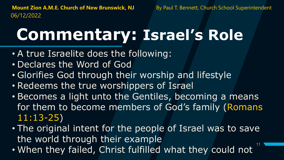## **Commentary: Israel's Role**

- A true Israelite does the following:
- Declares the Word of God
- Glorifies God through their worship and lifestyle
- Redeems the true worshippers of Israel
- Becomes a light unto the Gentiles, becoming a means for them to become members of God's family (Romans 11:13-25)
- 11 • The original intent for the people of Israel was to save the world through their example
- When they failed, Christ fulfilled what they could not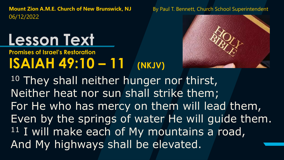### **Lesson Text**

#### **ISAIAH 49:10 – 11 (NKJV) Promises of Israel's Restoration**



<sup>10</sup> They shall neither hunger nor thirst, Neither heat nor sun shall strike them; For He who has mercy on them will lead them, Even by the springs of water He will guide them. <sup>11</sup> I will make each of My mountains a road, And My highways shall be elevated.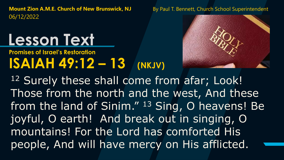### **Lesson Text**

#### **ISAIAH 49:12 – 13 (NKJV) Promises of Israel's Restoration**



12 Surely these shall come from afar; Look! Those from the north and the west, And these from the land of Sinim." <sup>13</sup> Sing, O heavens! Be joyful, O earth! And break out in singing, O mountains! For the Lord has comforted His people, And will have mercy on His afflicted.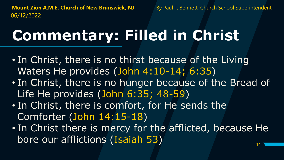#### **Commentary: Filled in Christ**

- In Christ, there is no thirst because of the Living Waters He provides (John 4:10-14; 6:35)
- In Christ, there is no hunger because of the Bread of Life He provides (John 6:35; 48-59)
- In Christ, there is comfort, for He sends the Comforter (John 14:15-18)
- 14 • In Christ there is mercy for the afflicted, because He bore our afflictions (Isaiah 53)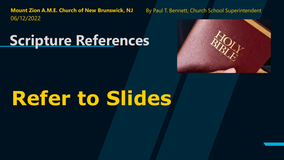#### **Scripture References**



# **Refer to Slides**